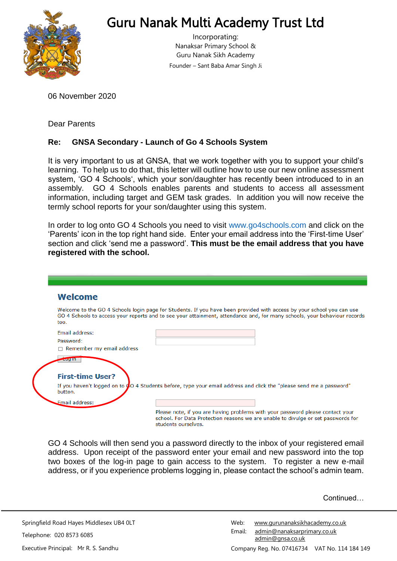

# Guru Nanak Multi Academy Trust Ltd

Incorporating: Nanaksar Primary School & Guru Nanak Sikh Academy Founder – Sant Baba Amar Singh Ji

06 November 2020

Dear Parents

## **Re: GNSA Secondary - Launch of Go 4 Schools System**

It is very important to us at GNSA, that we work together with you to support your child's learning. To help us to do that, this letter will outline how to use our new online assessment system, 'GO 4 Schools', which your son/daughter has recently been introduced to in an assembly. GO 4 Schools enables parents and students to access all assessment information, including target and GEM task grades. In addition you will now receive the termly school reports for your son/daughter using this system.

In order to log onto GO 4 Schools you need to visit www.go4schools.com and click on the 'Parents' icon in the top right hand side. Enter your email address into the 'First-time User' section and click 'send me a password'. **This must be the email address that you have registered with the school.**

| <b>Welcome</b>                            |                                                                                                                                                                                                                                                   |
|-------------------------------------------|---------------------------------------------------------------------------------------------------------------------------------------------------------------------------------------------------------------------------------------------------|
| too.                                      | Welcome to the GO 4 Schools login page for Students. If you have been provided with access by your school you can use<br>GO 4 Schools to access your reports and to see your attainment, attendance and, for many schools, your behaviour records |
| <b>Email address:</b>                     |                                                                                                                                                                                                                                                   |
| Password:                                 |                                                                                                                                                                                                                                                   |
| $\Box$ Remember my email address          |                                                                                                                                                                                                                                                   |
|                                           |                                                                                                                                                                                                                                                   |
| <b>Log III</b><br><b>First-time User?</b> |                                                                                                                                                                                                                                                   |
| button.                                   | If you haven't logged on to CO 4 Students before, type your email address and click the "please send me a password"                                                                                                                               |
| Email address:                            |                                                                                                                                                                                                                                                   |

GO 4 Schools will then send you a password directly to the inbox of your registered email address. Upon receipt of the password enter your email and new password into the top two boxes of the log-in page to gain access to the system. To register a new e-mail address, or if you experience problems logging in, please contact the school's admin team.

**Continued** 

Springfield Road Hayes Middlesex UB4 0LT Telephone: 020 8573 6085 Executive Principal: Mr R. S. Sandhu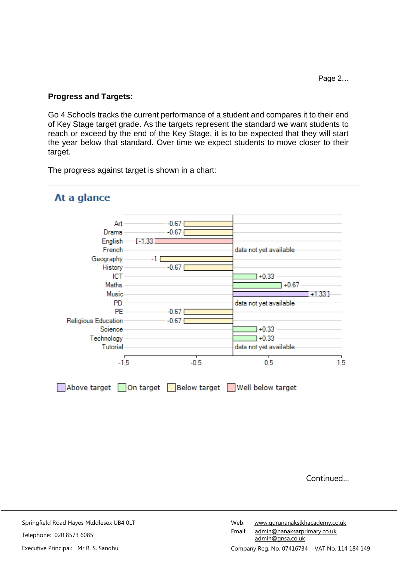### **Progress and Targets:**

Go 4 Schools tracks the current performance of a student and compares it to their end of Key Stage target grade. As the targets represent the standard we want students to reach or exceed by the end of the Key Stage, it is to be expected that they will start the year below that standard. Over time we expect students to move closer to their target.

The progress against target is shown in a chart:



# At a glance

**Continued**